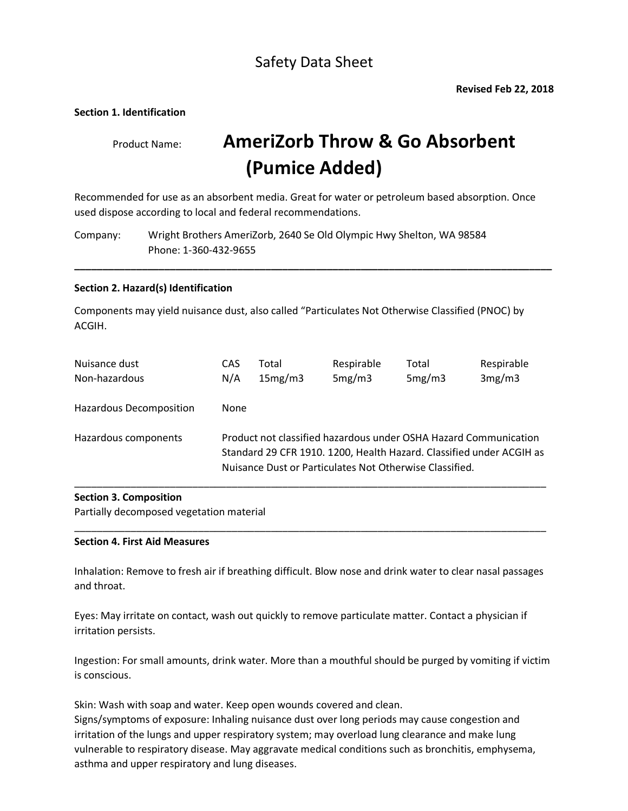## Safety Data Sheet

#### **Section 1. Identification**

# Product Name: **AmeriZorb Throw & Go Absorbent (Pumice Added)**

Recommended for use as an absorbent media. Great for water or petroleum based absorption. Once used dispose according to local and federal recommendations.

**\_\_\_\_\_\_\_\_\_\_\_\_\_\_\_\_\_\_\_\_\_\_\_\_\_\_\_\_\_\_\_\_\_\_\_\_\_\_\_\_\_\_\_\_\_\_\_\_\_\_\_\_\_\_\_\_\_\_\_\_\_\_\_\_\_\_\_\_\_\_\_\_\_\_\_\_\_\_\_\_\_\_\_\_\_**

Company: Wright Brothers AmeriZorb, 2640 Se Old Olympic Hwy Shelton, WA 98584 Phone: 1-360-432-9655

#### **Section 2. Hazard(s) Identification**

Components may yield nuisance dust, also called "Particulates Not Otherwise Classified (PNOC) by ACGIH.

| Nuisance dust           | CAS                                                                                                                                                                                                 | Total   | Respirable | Total  | Respirable |
|-------------------------|-----------------------------------------------------------------------------------------------------------------------------------------------------------------------------------------------------|---------|------------|--------|------------|
| Non-hazardous           | N/A                                                                                                                                                                                                 | 15mg/m3 | 5mg/m3     | 5mg/m3 | 3mg/m3     |
| Hazardous Decomposition | <b>None</b>                                                                                                                                                                                         |         |            |        |            |
| Hazardous components    | Product not classified hazardous under OSHA Hazard Communication<br>Standard 29 CFR 1910. 1200, Health Hazard. Classified under ACGIH as<br>Nuisance Dust or Particulates Not Otherwise Classified. |         |            |        |            |

#### **Section 3. Composition**

Partially decomposed vegetation material

#### **Section 4. First Aid Measures**

Inhalation: Remove to fresh air if breathing difficult. Blow nose and drink water to clear nasal passages and throat.

\_\_\_\_\_\_\_\_\_\_\_\_\_\_\_\_\_\_\_\_\_\_\_\_\_\_\_\_\_\_\_\_\_\_\_\_\_\_\_\_\_\_\_\_\_\_\_\_\_\_\_\_\_\_\_\_\_\_\_\_\_\_\_\_\_\_\_\_\_\_\_\_\_\_\_\_\_\_\_\_\_\_\_\_

Eyes: May irritate on contact, wash out quickly to remove particulate matter. Contact a physician if irritation persists.

Ingestion: For small amounts, drink water. More than a mouthful should be purged by vomiting if victim is conscious.

Skin: Wash with soap and water. Keep open wounds covered and clean. Signs/symptoms of exposure: Inhaling nuisance dust over long periods may cause congestion and irritation of the lungs and upper respiratory system; may overload lung clearance and make lung vulnerable to respiratory disease. May aggravate medical conditions such as bronchitis, emphysema, asthma and upper respiratory and lung diseases.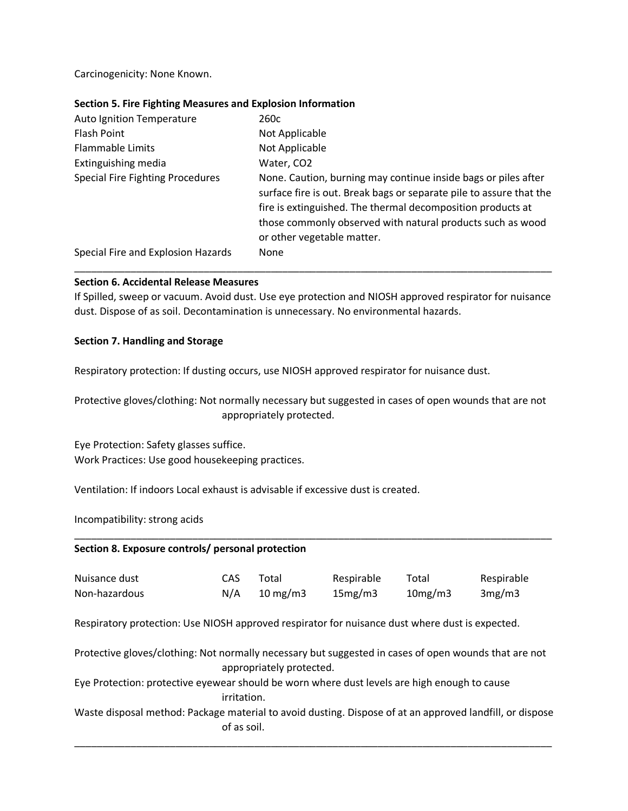Carcinogenicity: None Known.

#### **Section 5. Fire Fighting Measures and Explosion Information**

| <b>Auto Ignition Temperature</b>        | 260c                                                                                                                                                                                                                                                                                             |
|-----------------------------------------|--------------------------------------------------------------------------------------------------------------------------------------------------------------------------------------------------------------------------------------------------------------------------------------------------|
| <b>Flash Point</b>                      | Not Applicable                                                                                                                                                                                                                                                                                   |
| Flammable Limits                        | Not Applicable                                                                                                                                                                                                                                                                                   |
| Extinguishing media                     | Water, CO2                                                                                                                                                                                                                                                                                       |
| <b>Special Fire Fighting Procedures</b> | None. Caution, burning may continue inside bags or piles after<br>surface fire is out. Break bags or separate pile to assure that the<br>fire is extinguished. The thermal decomposition products at<br>those commonly observed with natural products such as wood<br>or other vegetable matter. |
| Special Fire and Explosion Hazards      | None                                                                                                                                                                                                                                                                                             |

#### **Section 6. Accidental Release Measures**

If Spilled, sweep or vacuum. Avoid dust. Use eye protection and NIOSH approved respirator for nuisance dust. Dispose of as soil. Decontamination is unnecessary. No environmental hazards.

\_\_\_\_\_\_\_\_\_\_\_\_\_\_\_\_\_\_\_\_\_\_\_\_\_\_\_\_\_\_\_\_\_\_\_\_\_\_\_\_\_\_\_\_\_\_\_\_\_\_\_\_\_\_\_\_\_\_\_\_\_\_\_\_\_\_\_\_\_\_\_\_\_\_\_\_\_\_\_\_\_\_\_\_\_

#### **Section 7. Handling and Storage**

Respiratory protection: If dusting occurs, use NIOSH approved respirator for nuisance dust.

Protective gloves/clothing: Not normally necessary but suggested in cases of open wounds that are not appropriately protected.

Eye Protection: Safety glasses suffice. Work Practices: Use good housekeeping practices.

Ventilation: If indoors Local exhaust is advisable if excessive dust is created.

Incompatibility: strong acids

| Section 8. Exposure controls/ personal protection                                                                       |             |                          |            |         |            |
|-------------------------------------------------------------------------------------------------------------------------|-------------|--------------------------|------------|---------|------------|
| Nuisance dust                                                                                                           | CAS.        | Total                    | Respirable | Total   | Respirable |
| Non-hazardous                                                                                                           | N/A         | $10 \text{ mg/m}$        | 15mg/m3    | 10mg/m3 | 3mg/m3     |
| Respiratory protection: Use NIOSH approved respirator for nuisance dust where dust is expected.                         |             |                          |            |         |            |
| Protective gloves/clothing: Not normally necessary but suggested in cases of open wounds that are not                   |             | appropriately protected. |            |         |            |
| Eye Protection: protective eyewear should be worn where dust levels are high enough to cause                            | irritation. |                          |            |         |            |
| Waste disposal method: Package material to avoid dusting. Dispose of at an approved landfill, or dispose<br>of as soil. |             |                          |            |         |            |
|                                                                                                                         |             |                          |            |         |            |

\_\_\_\_\_\_\_\_\_\_\_\_\_\_\_\_\_\_\_\_\_\_\_\_\_\_\_\_\_\_\_\_\_\_\_\_\_\_\_\_\_\_\_\_\_\_\_\_\_\_\_\_\_\_\_\_\_\_\_\_\_\_\_\_\_\_\_\_\_\_\_\_\_\_\_\_\_\_\_\_\_\_\_\_\_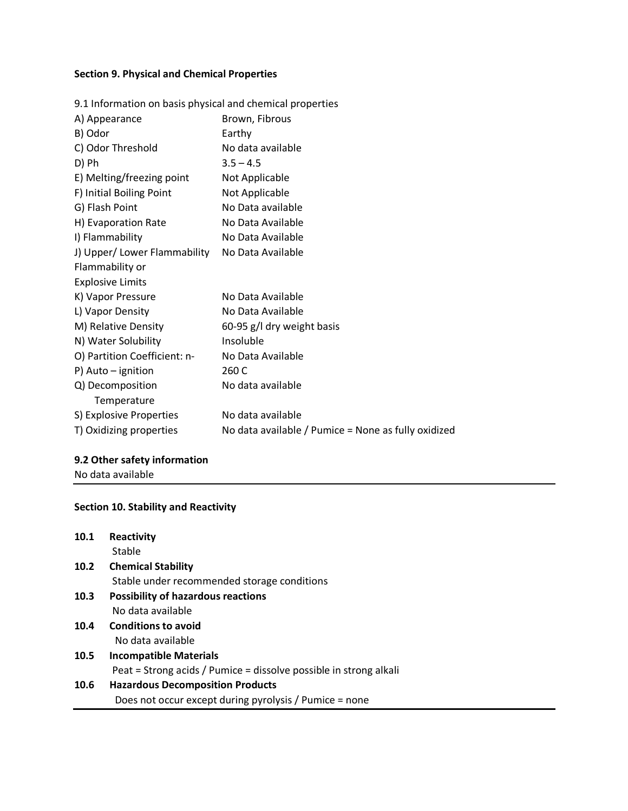## **Section 9. Physical and Chemical Properties**

| 9.1 Information on basis physical and chemical properties |                                                     |
|-----------------------------------------------------------|-----------------------------------------------------|
| A) Appearance                                             | Brown, Fibrous                                      |
| B) Odor                                                   | Earthy                                              |
| C) Odor Threshold                                         | No data available                                   |
| D) Ph                                                     | $3.5 - 4.5$                                         |
| E) Melting/freezing point                                 | Not Applicable                                      |
| F) Initial Boiling Point                                  | Not Applicable                                      |
| G) Flash Point                                            | No Data available                                   |
| H) Evaporation Rate                                       | No Data Available                                   |
| I) Flammability                                           | No Data Available                                   |
| J) Upper/ Lower Flammability                              | No Data Available                                   |
| Flammability or                                           |                                                     |
| <b>Explosive Limits</b>                                   |                                                     |
| K) Vapor Pressure                                         | No Data Available                                   |
| L) Vapor Density                                          | No Data Available                                   |
| M) Relative Density                                       | 60-95 g/l dry weight basis                          |
| N) Water Solubility                                       | Insoluble                                           |
| O) Partition Coefficient: n-                              | No Data Available                                   |
| P) Auto - ignition                                        | 260 C                                               |
| Q) Decomposition                                          | No data available                                   |
| Temperature                                               |                                                     |
| S) Explosive Properties                                   | No data available                                   |
| T) Oxidizing properties                                   | No data available / Pumice = None as fully oxidized |

## **9.2 Other safety information**

No data available

## **Section 10. Stability and Reactivity**

| 10.1 | <b>Reactivity</b>                                                 |
|------|-------------------------------------------------------------------|
|      | Stable                                                            |
| 10.2 | <b>Chemical Stability</b>                                         |
|      | Stable under recommended storage conditions                       |
| 10.3 | <b>Possibility of hazardous reactions</b>                         |
|      | No data available                                                 |
| 10.4 | <b>Conditions to avoid</b>                                        |
|      | No data available                                                 |
| 10.5 | <b>Incompatible Materials</b>                                     |
|      | Peat = Strong acids / Pumice = dissolve possible in strong alkali |
| 10.6 | <b>Hazardous Decomposition Products</b>                           |
|      | Does not occur except during pyrolysis / Pumice = none            |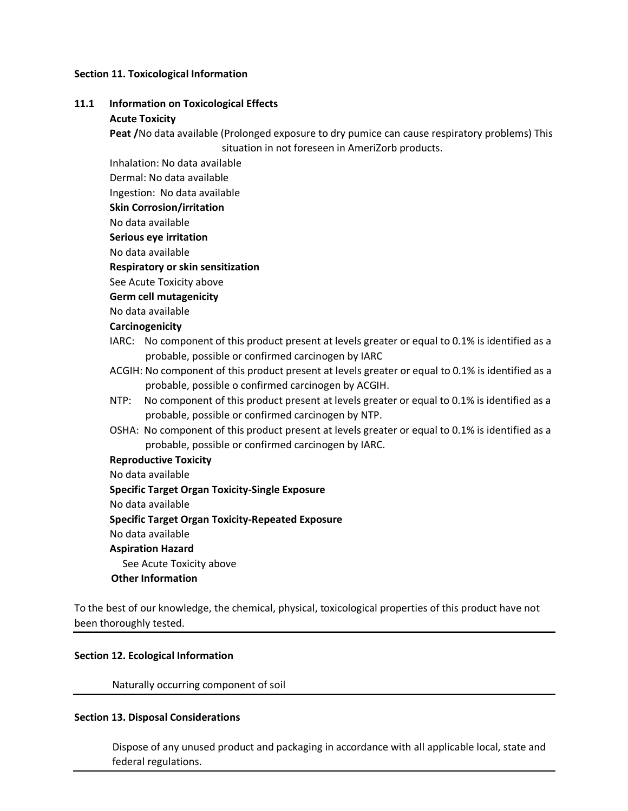#### **Section 11. Toxicological Information**

#### **11.1 Information on Toxicological Effects**

#### **Acute Toxicity**

 **Peat /**No data available (Prolonged exposure to dry pumice can cause respiratory problems) This situation in not foreseen in AmeriZorb products.

Inhalation: No data available

Dermal: No data available

Ingestion: No data available

**Skin Corrosion/irritation**

No data available

**Serious eye irritation**

No data available

**Respiratory or skin sensitization**

See Acute Toxicity above

**Germ cell mutagenicity**

No data available

#### **Carcinogenicity**

- IARC: No component of this product present at levels greater or equal to 0.1% is identified as a probable, possible or confirmed carcinogen by IARC
- ACGIH: No component of this product present at levels greater or equal to 0.1% is identified as a probable, possible o confirmed carcinogen by ACGIH.
- NTP: No component of this product present at levels greater or equal to 0.1% is identified as a probable, possible or confirmed carcinogen by NTP.
- OSHA: No component of this product present at levels greater or equal to 0.1% is identified as a probable, possible or confirmed carcinogen by IARC.

#### **Reproductive Toxicity**

No data available

**Specific Target Organ Toxicity-Single Exposure**

No data available

 **Specific Target Organ Toxicity-Repeated Exposure**

No data available

#### **Aspiration Hazard**

See Acute Toxicity above

#### **Other Information**

To the best of our knowledge, the chemical, physical, toxicological properties of this product have not been thoroughly tested.

#### **Section 12. Ecological Information**

Naturally occurring component of soil

#### **Section 13. Disposal Considerations**

 Dispose of any unused product and packaging in accordance with all applicable local, state and federal regulations.